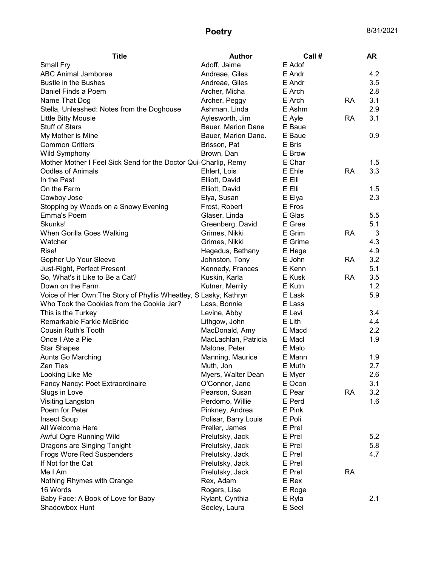| <b>Title</b>                                                      | <b>Author</b>        | Call #  |           | AR  |
|-------------------------------------------------------------------|----------------------|---------|-----------|-----|
| Small Fry                                                         | Adoff, Jaime         | E Adof  |           |     |
| <b>ABC Animal Jamboree</b>                                        | Andreae, Giles       | E Andr  |           | 4.2 |
| <b>Bustle in the Bushes</b>                                       | Andreae, Giles       | E Andr  |           | 3.5 |
| Daniel Finds a Poem                                               | Archer, Micha        | E Arch  |           | 2.8 |
| Name That Dog                                                     | Archer, Peggy        | E Arch  | RA        | 3.1 |
| Stella, Unleashed: Notes from the Doghouse                        | Ashman, Linda        | E Ashm  |           | 2.9 |
| Little Bitty Mousie                                               | Aylesworth, Jim      | E Ayle  | RA        | 3.1 |
| <b>Stuff of Stars</b>                                             | Bauer, Marion Dane   | E Baue  |           |     |
| My Mother is Mine                                                 | Bauer, Marion Dane.  | E Baue  |           | 0.9 |
| <b>Common Critters</b>                                            | Brisson, Pat         | E Bris  |           |     |
| <b>Wild Symphony</b>                                              | Brown, Dan           | E Brow  |           |     |
| Mother Mother I Feel Sick Send for the Doctor Quit Charlip, Remy  |                      | E Char  |           | 1.5 |
| <b>Oodles of Animals</b>                                          | Ehlert, Lois         | E Ehle  | <b>RA</b> | 3.3 |
| In the Past                                                       | Elliott, David       | E Elli  |           |     |
| On the Farm                                                       | Elliott, David       | E Elli  |           | 1.5 |
| Cowboy Jose                                                       | Elya, Susan          | E Elya  |           | 2.3 |
| Stopping by Woods on a Snowy Evening                              | Frost, Robert        | E Fros  |           |     |
| <b>Emma's Poem</b>                                                | Glaser, Linda        | E Glas  |           | 5.5 |
| Skunks!                                                           | Greenberg, David     | E Gree  |           | 5.1 |
| When Gorilla Goes Walking                                         | Grimes, Nikki        | E Grim  | <b>RA</b> | 3   |
| Watcher                                                           | Grimes, Nikki        | E Grime |           | 4.3 |
| Rise!                                                             | Hegedus, Bethany     | E Hege  |           | 4.9 |
| Gopher Up Your Sleeve                                             | Johnston, Tony       | E John  | RA        | 3.2 |
| Just-Right, Perfect Present                                       | Kennedy, Frances     | E Kenn  |           | 5.1 |
| So, What's it Like to Be a Cat?                                   | Kuskin, Karla        | E Kusk  | <b>RA</b> | 3.5 |
| Down on the Farm                                                  | Kutner, Merrily      | E Kutn  |           | 1.2 |
| Voice of Her Own: The Story of Phyllis Wheatley, S Lasky, Kathryn |                      | E Lask  |           | 5.9 |
| Who Took the Cookies from the Cookie Jar?                         | Lass, Bonnie         | E Lass  |           |     |
| This is the Turkey                                                | Levine, Abby         | E Levi  |           | 3.4 |
| Remarkable Farkle McBride                                         | Lithgow, John        | E Lith  |           | 4.4 |
| <b>Cousin Ruth's Tooth</b>                                        | MacDonald, Amy       | E Macd  |           | 2.2 |
| Once I Ate a Pie                                                  | MacLachlan, Patricia | E Macl  |           | 1.9 |
| <b>Star Shapes</b>                                                | Malone, Peter        | E Malo  |           |     |
| Aunts Go Marching                                                 | Manning, Maurice     | E Mann  |           | 1.9 |
| Zen Ties                                                          | Muth, Jon            | E Muth  |           | 2.7 |
| Looking Like Me                                                   | Myers, Walter Dean   | E Myer  |           | 2.6 |
| Fancy Nancy: Poet Extraordinaire                                  | O'Connor, Jane       | E Ocon  |           | 3.1 |
| Slugs in Love                                                     | Pearson, Susan       | E Pear  | <b>RA</b> | 3.2 |
| Visiting Langston                                                 | Perdomo, Willie      | E Perd  |           | 1.6 |
| Poem for Peter                                                    | Pinkney, Andrea      | E Pink  |           |     |
| <b>Insect Soup</b>                                                | Polisar, Barry Louis | E Poli  |           |     |
| All Welcome Here                                                  | Preller, James       | E Prel  |           |     |
| Awful Ogre Running Wild                                           | Prelutsky, Jack      | E Prel  |           | 5.2 |
| Dragons are Singing Tonight                                       | Prelutsky, Jack      | E Prel  |           | 5.8 |
| Frogs Wore Red Suspenders                                         | Prelutsky, Jack      | E Prel  |           | 4.7 |
| If Not for the Cat                                                | Prelutsky, Jack      | E Prel  |           |     |
| Me I Am                                                           | Prelutsky, Jack      | E Prel  | <b>RA</b> |     |
| Nothing Rhymes with Orange                                        | Rex, Adam            | E Rex   |           |     |
| 16 Words                                                          | Rogers, Lisa         | E Roge  |           |     |
| Baby Face: A Book of Love for Baby                                | Rylant, Cynthia      | E Ryla  |           | 2.1 |
| Shadowbox Hunt                                                    | Seeley, Laura        | E Seel  |           |     |